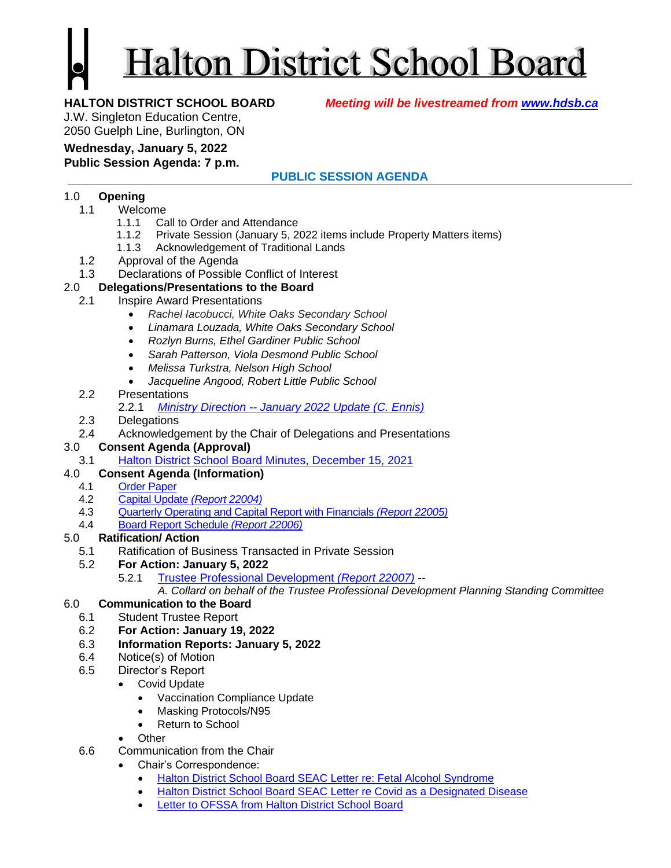# **Halton District School Board**

**HALTON DISTRICT SCHOOL BOARD** *Meeting will be livestreamed from [www.hdsb.ca](http://www.hdsb.ca/)*

J.W. Singleton Education Centre, 2050 Guelph Line, Burlington, ON

## **Wednesday, January 5, 2022**

**Public Session Agenda: 7 p.m.**

### **PUBLIC SESSION AGENDA**

#### 1.0 **Opening**

- 1.1 Welcome
	- 1.1.1 Call to Order and Attendance
	- 1.1.2 Private Session (January 5, 2022 items include Property Matters items)
	- 1.1.3 Acknowledgement of Traditional Lands
- 1.2 Approval of the Agenda
- 1.3 Declarations of Possible Conflict of Interest

### 2.0 **Delegations/Presentations to the Board**

- 2.1 Inspire Award Presentations
	- *Rachel Iacobucci, White Oaks Secondary School*
	- *Linamara Louzada, White Oaks Secondary School*
	- *Rozlyn Burns, Ethel Gardiner Public School*
	- *Sarah Patterson, Viola Desmond Public School*
	- *Melissa Turkstra, Nelson High School*
	- *Jacqueline Angood, Robert Little Public School*
	- 2.2 Presentations
		- 2.2.1 *Ministry Direction -- [January 2022 Update \(C. Ennis\)](https://drive.google.com/file/d/1Dj6U1AHf9QF_cOxeiI9mZpkwMTOgugfy/view?usp=sharing)*
	- 2.3 Delegations
	- 2.4 Acknowledgement by the Chair of Delegations and Presentations

### 3.0 **Consent Agenda (Approval)**

3.1 [Halton District School Board Minutes, December 15, 2021](https://drive.google.com/file/d/1xbWATeyfNSFVTpzo35_JF_3xTZWNDG6B/view?usp=sharing)

### 4.0 **Consent Agenda (Information)**

- 4.1 [Order Paper](https://drive.google.com/file/d/1NWGGCqCHxEAXYxLmrxwR9TFW3bL9aV4O/view?usp=sharing)
- 4.2 [Capital Update](https://drive.google.com/file/d/1I5Q8_hqjbRXCPfgyUPKwvo595HXupTR0/view?usp=sharing) *(Report 22004)*
- 4.3 [Quarterly Operating and Capital Report with Financials](https://drive.google.com/file/d/1NYqZGcZeDWNw6pVMI4pKdaGLjw3SG4H5/view?usp=sharing) *(Report 22005)*
- 4.4 [Board Report Schedule](https://drive.google.com/file/d/17TTRlreCeLLUIShXZsCfoHsFZxHm-w2p/view?usp=sharing) *(Report 22006)*

### 5.0 **Ratification/ Action**

- 5.1 Ratification of Business Transacted in Private Session
- 5.2 **For Action: January 5, 2022**
	- 5.2.1 [Trustee Professional Development](https://drive.google.com/file/d/1VJ7Bi67iSLZjr0ZUbvQarwjkiEKs6nUs/view?usp=sharing) *(Report 22007) --*

*A. Collard on behalf of the Trustee Professional Development Planning Standing Committee*

#### 6.0 **Communication to the Board**

- 6.1 Student Trustee Report
- 6.2 **For Action: January 19, 2022**
- 6.3 **Information Reports: January 5, 2022**
- 6.4 Notice(s) of Motion
- 6.5 Director's Report
	- Covid Update
		- Vaccination Compliance Update
		- Masking Protocols/N95
		- Return to School

#### **Other**

- 6.6 Communication from the Chair
	- Chair's Correspondence:
		- [Halton District School Board SEAC Letter re: Fetal Alcohol Syndrome](https://drive.google.com/file/d/1AvWAgEO6ZGJL_CZKldy29t0MYe7FdhGQ/view?usp=sharing)
		- [Halton District School Board SEAC Letter re Covid as a Designated Disease](https://drive.google.com/file/d/12Yf21lS45AY6q2R1jXcFsLVnhcz3DsG4/view?usp=sharing)
		- [Letter to OFSSA from Halton District School Board](https://drive.google.com/file/d/10kbmCOPLVr_ihWjIaHGbd-T15KLa4Y8S/view?usp=sharing)